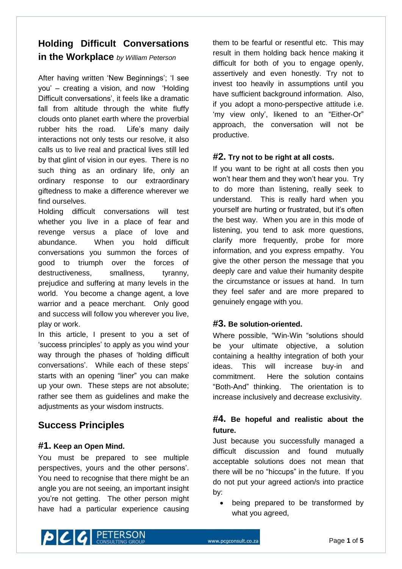# **Holding Difficult Conversations in the Workplace** *by William Peterson*

After having written 'New Beginnings'; 'I see you" – creating a vision, and now "Holding Difficult conversations', it feels like a dramatic fall from altitude through the white fluffy clouds onto planet earth where the proverbial rubber hits the road. Life's many daily interactions not only tests our resolve, it also calls us to live real and practical lives still led by that glint of vision in our eyes. There is no such thing as an ordinary life, only an ordinary response to our extraordinary giftedness to make a difference wherever we find ourselves.

Holding difficult conversations will test whether you live in a place of fear and revenge versus a place of love and abundance. When you hold difficult conversations you summon the forces of good to triumph over the forces of destructiveness, smallness, tyranny, prejudice and suffering at many levels in the world. You become a change agent, a love warrior and a peace merchant. Only good and success will follow you wherever you live, play or work.

In this article, I present to you a set of "success principles" to apply as you wind your way through the phases of "holding difficult conversations". While each of these steps" starts with an opening "liner" you can make up your own. These steps are not absolute; rather see them as guidelines and make the adjustments as your wisdom instructs.

# **Success Principles**

### **#1. Keep an Open Mind.**

You must be prepared to see multiple perspectives, yours and the other persons". You need to recognise that there might be an angle you are not seeing, an important insight you"re not getting. The other person might have had a particular experience causing them to be fearful or resentful etc. This may result in them holding back hence making it difficult for both of you to engage openly, assertively and even honestly. Try not to invest too heavily in assumptions until you have sufficient background information. Also, if you adopt a mono-perspective attitude i.e. 'my view only', likened to an "Either-Or" approach, the conversation will not be productive.

### **#2. Try not to be right at all costs.**

If you want to be right at all costs then you won"t hear them and they won"t hear you. Try to do more than listening, really seek to understand. This is really hard when you yourself are hurting or frustrated, but it"s often the best way. When you are in this mode of listening, you tend to ask more questions, clarify more frequently, probe for more information, and you express empathy. You give the other person the message that you deeply care and value their humanity despite the circumstance or issues at hand. In turn they feel safer and are more prepared to genuinely engage with you.

### **#3. Be solution-oriented.**

Where possible, "Win-Win "solutions should be your ultimate objective, a solution containing a healthy integration of both your ideas. This will increase buy-in and commitment. Here the solution contains "Both-And" thinking. The orientation is to increase inclusively and decrease exclusivity.

## **#4. Be hopeful and realistic about the future.**

Just because you successfully managed a difficult discussion and found mutually acceptable solutions does not mean that there will be no "hiccups" in the future. If you do not put your agreed action/s into practice by:

 being prepared to be transformed by what you agreed,

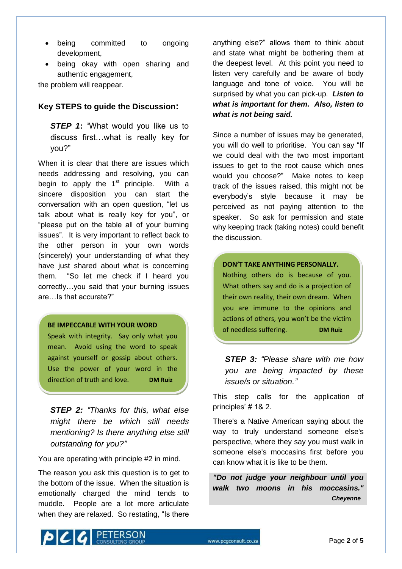- being committed to ongoing development,
- being okay with open sharing and authentic engagement,

the problem will reappear.

#### **Key STEPS to guide the Discussion:**

*STEP 1***:** "What would you like us to discuss first…what is really key for you?"

When it is clear that there are issues which needs addressing and resolving, you can begin to apply the  $1<sup>st</sup>$  principle. With a sincere disposition you can start the conversation with an open question, "let us talk about what is really key for you", or "please put on the table all of your burning issues". It is very important to reflect back to the other person in your own words (sincerely) your understanding of what they have just shared about what is concerning them. "So let me check if I heard you correctly…you said that your burning issues are…Is that accurate?"

#### **BE IMPECCABLE WITH YOUR WORD**

Speak with integrity. Say only what you mean. Avoid using the word to speak against yourself or gossip about others. Use the power of your word in the direction of truth and love. **DM Ruiz**

*STEP 2: "Thanks for this, what else might there be which still needs mentioning? Is there anything else still outstanding for you?"*

You are operating with principle #2 in mind.

The reason you ask this question is to get to the bottom of the issue. When the situation is emotionally charged the mind tends to muddle. People are a lot more articulate when they are relaxed. So restating, "Is there

anything else?" allows them to think about and state what might be bothering them at the deepest level. At this point you need to listen very carefully and be aware of body language and tone of voice. You will be surprised by what you can pick-up. *Listen to what is important for them. Also, listen to what is not being said.*

Since a number of issues may be generated, you will do well to prioritise. You can say "If we could deal with the two most important issues to get to the root cause which ones would you choose?" Make notes to keep track of the issues raised, this might not be everybody"s style because it may be perceived as not paying attention to the speaker. So ask for permission and state why keeping track (taking notes) could benefit the discussion.

#### **DON'T TAKE ANYTHING PERSONALLY.**

Nothing others do is because of you. What others say and do is a projection of their own reality, their own dream. When you are immune to the opinions and actions of others, you won't be the victim of needless suffering. **DM Ruiz**

*STEP 3: "Please share with me how you are being impacted by these issue/s or situation."*

This step calls for the application of principles' # 1& 2.

There's a Native American saying about the way to truly understand someone else's perspective, where they say you must walk in someone else's moccasins first before you can know what it is like to be them.

*"Do not judge your neighbour until you walk two moons in his moccasins." …………………………………………Cheyenne*

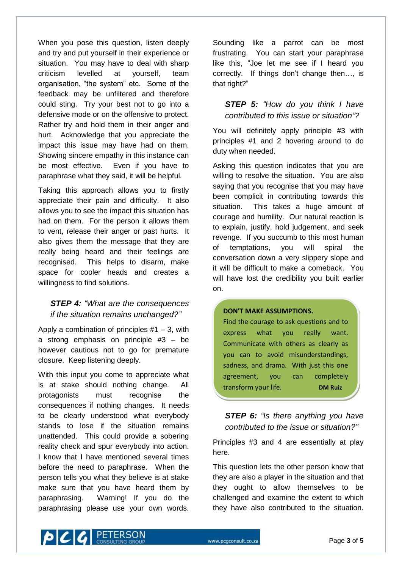When you pose this question, listen deeply and try and put yourself in their experience or situation. You may have to deal with sharp criticism levelled at yourself, team organisation, "the system" etc. Some of the feedback may be unfiltered and therefore could sting. Try your best not to go into a defensive mode or on the offensive to protect. Rather try and hold them in their anger and hurt. Acknowledge that you appreciate the impact this issue may have had on them. Showing sincere empathy in this instance can be most effective. Even if you have to paraphrase what they said, it will be helpful.

Taking this approach allows you to firstly appreciate their pain and difficulty. It also allows you to see the impact this situation has had on them. For the person it allows them to vent, release their anger or past hurts. It also gives them the message that they are really being heard and their feelings are recognised. This helps to disarm, make space for cooler heads and creates a willingness to find solutions.

## *STEP 4: "What are the consequences if the situation remains unchanged?"*

Apply a combination of principles  $#1 - 3$ , with a strong emphasis on principle #3 – be however cautious not to go for premature closure. Keep listening deeply.

With this input you come to appreciate what is at stake should nothing change. All protagonists must recognise the consequences if nothing changes. It needs to be clearly understood what everybody stands to lose if the situation remains unattended. This could provide a sobering reality check and spur everybody into action. I know that I have mentioned several times before the need to paraphrase. When the person tells you what they believe is at stake make sure that you have heard them by paraphrasing. Warning! If you do the paraphrasing please use your own words.

Sounding like a parrot can be most frustrating. You can start your paraphrase like this, "Joe let me see if I heard you correctly. If things don"t change then…, is that right?"

## *STEP 5: "How do you think I have contributed to this issue or situation"?*

You will definitely apply principle #3 with principles #1 and 2 hovering around to do duty when needed.

Asking this question indicates that you are willing to resolve the situation. You are also saying that you recognise that you may have been complicit in contributing towards this situation. This takes a huge amount of courage and humility. Our natural reaction is to explain, justify, hold judgement, and seek revenge. If you succumb to this most human of temptations, you will spiral the conversation down a very slippery slope and it will be difficult to make a comeback. You will have lost the credibility you built earlier on.

#### **DON'T MAKE ASSUMPTIONS.**

Find the courage to ask questions and to express what you really want. Communicate with others as clearly as you can to avoid misunderstandings, sadness, and drama. With just this one agreement, you can completely transform your life. **DM Ruiz**

## *STEP 6: "Is there anything you have contributed to the issue or situation?"*

Principles #3 and 4 are essentially at play here.

This question lets the other person know that they are also a player in the situation and that they ought to allow themselves to be challenged and examine the extent to which they have also contributed to the situation.

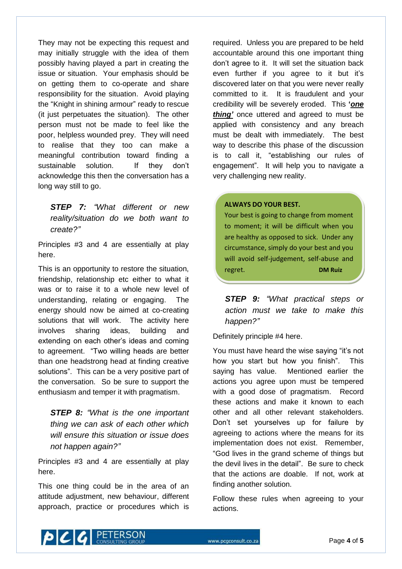They may not be expecting this request and may initially struggle with the idea of them possibly having played a part in creating the issue or situation. Your emphasis should be on getting them to co-operate and share responsibility for the situation. Avoid playing the "Knight in shining armour" ready to rescue (it just perpetuates the situation). The other person must not be made to feel like the poor, helpless wounded prey. They will need to realise that they too can make a meaningful contribution toward finding a sustainable solution. If they don't acknowledge this then the conversation has a long way still to go.

*STEP 7: "What different or new reality/situation do we both want to create?"*

Principles #3 and 4 are essentially at play here.

This is an opportunity to restore the situation, friendship, relationship etc either to what it was or to raise it to a whole new level of understanding, relating or engaging. The energy should now be aimed at co-creating solutions that will work. The activity here involves sharing ideas, building and extending on each other's ideas and coming to agreement. "Two willing heads are better than one headstrong head at finding creative solutions". This can be a very positive part of the conversation. So be sure to support the enthusiasm and temper it with pragmatism.

*STEP 8: "What is the one important thing we can ask of each other which will ensure this situation or issue does not happen again?"*

Principles #3 and 4 are essentially at play here.

This one thing could be in the area of an attitude adjustment, new behaviour, different approach, practice or procedures which is required. Unless you are prepared to be held accountable around this one important thing don"t agree to it. It will set the situation back even further if you agree to it but it"s discovered later on that you were never really committed to it. It is fraudulent and your credibility will be severely eroded. This **'***one thing'* once uttered and agreed to must be applied with consistency and any breach must be dealt with immediately. The best way to describe this phase of the discussion is to call it, "establishing our rules of engagement". It will help you to navigate a very challenging new reality.

#### **ALWAYS DO YOUR BEST.**

Your best is going to change from moment to moment; it will be difficult when you are healthy as opposed to sick. Under any circumstance, simply do your best and you will avoid self-judgement, self-abuse and regret. **DM Ruiz**

*STEP 9: "What practical steps or action must we take to make this happen?"*

Definitely principle #4 here.

You must have heard the wise saying "it's not how you start but how you finish". This saying has value. Mentioned earlier the actions you agree upon must be tempered with a good dose of pragmatism. Record these actions and make it known to each other and all other relevant stakeholders. Don"t set yourselves up for failure by agreeing to actions where the means for its implementation does not exist. Remember, "God lives in the grand scheme of things but the devil lives in the detail". Be sure to check that the actions are doable. If not, work at finding another solution.

Follow these rules when agreeing to your actions.